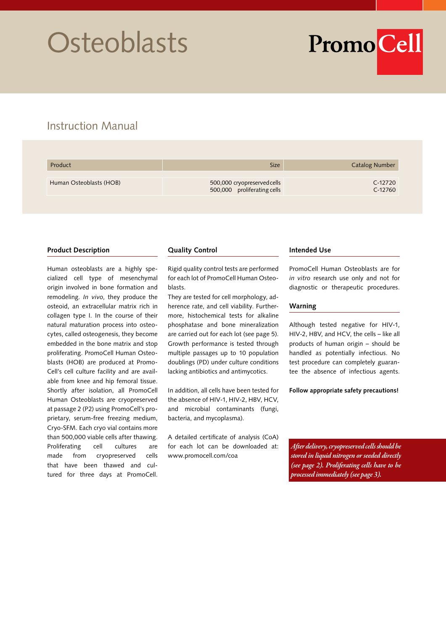# **Osteoblasts**

PromoCell

# Instruction Manual

| Product                 | <b>Size</b>                                                | <b>Catalog Number</b> |
|-------------------------|------------------------------------------------------------|-----------------------|
| Human Osteoblasts (HOB) | 500,000 cryopreserved cells<br>500,000 proliferating cells | C-12720<br>$C-12760$  |

## **Product Description**

Human osteoblasts are a highly specialized cell type of mesenchymal origin involved in bone formation and remodeling. *In vivo*, they produce the osteoid, an extracellular matrix rich in collagen type I. In the course of their natural maturation process into osteocytes, called osteogenesis, they become embedded in the bone matrix and stop proliferating. PromoCell Human Osteoblasts (HOB) are produced at Promo-Cell's cell culture facility and are available from knee and hip femoral tissue. Shortly after isolation, all PromoCell Human Osteoblasts are cryopreserved at passage 2 (P2) using PromoCell's proprietary, serum-free freezing medium, Cryo-SFM. Each cryo vial contains more than 500,000 viable cells after thawing. Proliferating cell cultures are made from cryopreserved cells that have been thawed and cultured for three days at PromoCell.

## **Quality Control**

Rigid quality control tests are performed for each lot of PromoCell Human Osteoblasts.

They are tested for cell morphology, adherence rate, and cell viability. Furthermore, histochemical tests for alkaline phosphatase and bone mineralization are carried out for each lot (see page 5). Growth performance is tested through multiple passages up to 10 population doublings (PD) under culture conditions lacking antibiotics and antimycotics.

In addition, all cells have been tested for the absence of HIV-1, HIV-2, HBV, HCV, and microbial contaminants (fungi, bacteria, and mycoplasma).

A detailed certificate of analysis (CoA) for each lot can be downloaded at: www.promocell.com/coa

## **Intended Use**

PromoCell Human Osteoblasts are for *in vitro* research use only and not for diagnostic or therapeutic procedures.

## **Warning**

Although tested negative for HIV-1, HIV-2, HBV, and HCV, the cells – like all products of human origin – should be handled as potentially infectious. No test procedure can completely guarantee the absence of infectious agents.

## **Follow appropriate safety precautions!**

*After delivery, cryopreserved cells should be stored in liquid nitrogen or seeded directly (see page 2). Proliferating cells have to be processed immediately (see page 3).*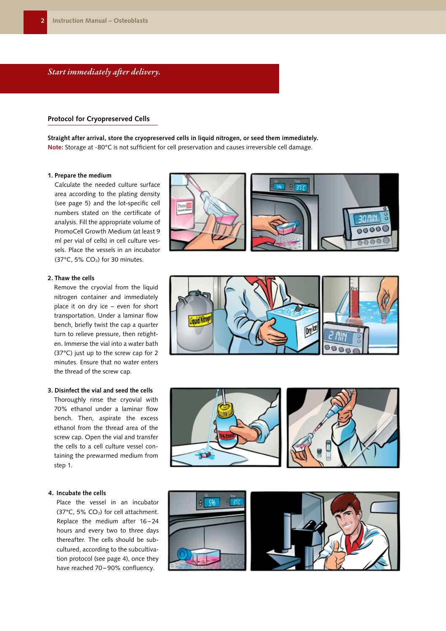## *Start immediately after delivery.*

## **Protocol for Cryopreserved Cells**

**Straight after arrival, store the cryopreserved cells in liquid nitrogen, or seed them immediately. Note:** Storage at -80°C is not sufficient for cell preservation and causes irreversible cell damage.

#### **1. Prepare the medium**

Calculate the needed culture surface area according to the plating density (see page 5) and the lot-specific cell numbers stated on the certificate of analysis. Fill the appropriate volume of PromoCell Growth Medium (at least 9 ml per vial of cells) in cell culture vessels. Place the vessels in an incubator (37 $^{\circ}$ C, 5% CO<sub>2</sub>) for 30 minutes.

## **2. Thaw the cells**

Remove the cryovial from the liquid nitrogen container and immediately place it on dry ice – even for short transportation. Under a laminar flow bench, briefly twist the cap a quarter turn to relieve pressure, then retighten. Immerse the vial into a water bath (37°C) just up to the screw cap for 2 minutes. Ensure that no water enters the thread of the screw cap.

## **3. Disinfect the vial and seed the cells**

Thoroughly rinse the cryovial with 70% ethanol under a laminar flow bench. Then, aspirate the excess ethanol from the thread area of the screw cap. Open the vial and transfer the cells to a cell culture vessel containing the prewarmed medium from step 1.

#### **4. Incubate the cells**

Place the vessel in an incubator (37 $^{\circ}$ C, 5% CO<sub>2</sub>) for cell attachment. Replace the medium after 16-24 hours and every two to three days thereafter. The cells should be subcultured, according to the subcultivation protocol (see page 4), once they have reached 70-90% confluency.







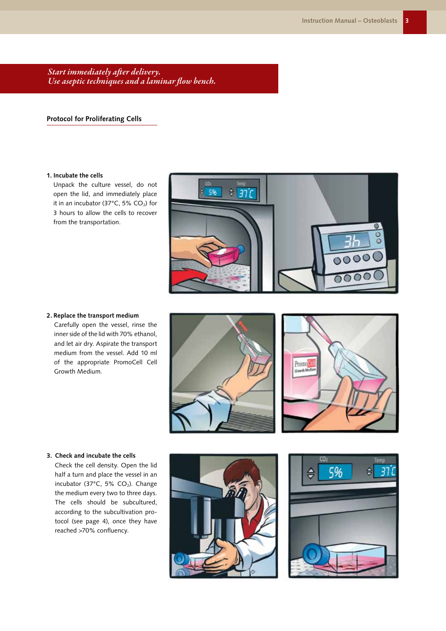*Start immediately after delivery. Use aseptic techniques and a laminar flow bench.*

## **Protocol for Proliferating Cells**

## **1. Incubate the cells**

Unpack the culture vessel, do not open the lid, and immediately place it in an incubator (37 $^{\circ}$ C, 5% CO<sub>2</sub>) for 3 hours to allow the cells to recover from the transportation.



**2. Replace the transport medium**

Carefully open the vessel, rinse the inner side of the lid with 70% ethanol, and let air dry. Aspirate the transport medium from the vessel. Add 10 ml of the appropriate PromoCell Cell Growth Medium.





#### **3. Check and incubate the cells**

Check the cell density. Open the lid half a turn and place the vessel in an incubator (37 $^{\circ}$ C, 5% CO<sub>2</sub>). Change the medium every two to three days. The cells should be subcultured, according to the subcultivation protocol (see page 4), once they have reached >70% confluency.



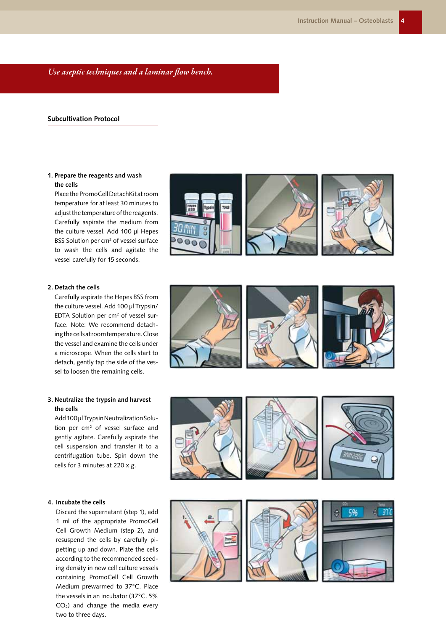*Use aseptic techniques and a laminar flow bench.*

## **Subcultivation Protocol**

## **1. Prepare the reagents and wash the cells**

Place the PromoCell DetachKit at room temperature for at least 30 minutes to adjust the temperature of the reagents. Carefully aspirate the medium from the culture vessel. Add 100 µl Hepes BSS Solution per cm<sup>2</sup> of vessel surface to wash the cells and agitate the vessel carefully for 15 seconds.





## **2. Detach the cells**

Carefully aspirate the Hepes BSS from the culture vessel. Add 100 µl Trypsin/ EDTA Solution per cm<sup>2</sup> of vessel surface. Note: We recommend detaching the cells at room temperature. Close the vessel and examine the cells under a microscope. When the cells start to detach, gently tap the side of the vessel to loosen the remaining cells.

## **3. Neutralize the trypsin and harvest the cells**

Add 100 µl Trypsin Neutralization Solution per cm<sup>2</sup> of vessel surface and gently agitate. Carefully aspirate the cell suspension and transfer it to a centrifugation tube. Spin down the cells for 3 minutes at 220 x g.

#### **4. Incubate the cells**

Discard the supernatant (step 1), add 1 ml of the appropriate PromoCell Cell Growth Medium (step 2), and resuspend the cells by carefully pipetting up and down. Plate the cells according to the recommended seeding density in new cell culture vessels containing PromoCell Cell Growth Medium prewarmed to 37°C. Place the vessels in an incubator (37°C, 5%  $CO<sub>2</sub>$ ) and change the media every two to three days.





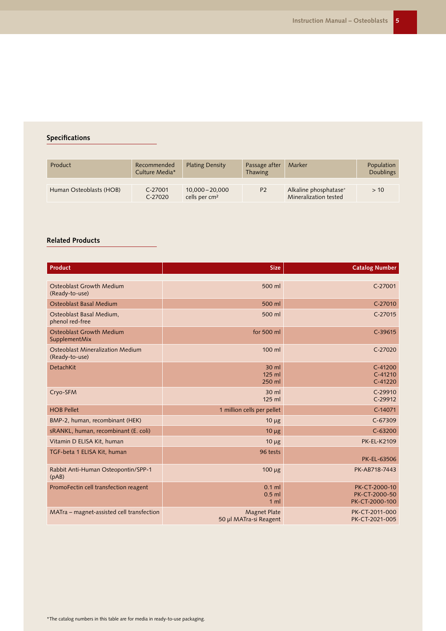## **Specifications**

| Product                 | Recommended<br>Culture Media* | <b>Plating Density</b>                         | Passage after<br>Thawing | Marker                                                     | Population<br><b>Doublings</b> |
|-------------------------|-------------------------------|------------------------------------------------|--------------------------|------------------------------------------------------------|--------------------------------|
| Human Osteoblasts (HOB) | C-27001<br>$C-27020$          | $10,000 - 20,000$<br>cells per cm <sup>2</sup> | <b>P2</b>                | Alkaline phosphatase <sup>+</sup><br>Mineralization tested | > 10                           |

## **Related Products**

| Product                                                   | <b>Size</b>                                   | <b>Catalog Number</b>                            |
|-----------------------------------------------------------|-----------------------------------------------|--------------------------------------------------|
|                                                           |                                               |                                                  |
| Osteoblast Growth Medium<br>(Ready-to-use)                | 500 ml                                        | $C-27001$                                        |
| Osteoblast Basal Medium                                   | 500 ml                                        | C-27010                                          |
| Osteoblast Basal Medium,<br>phenol red-free               | 500 ml                                        | $C-27015$                                        |
| <b>Osteoblast Growth Medium</b><br>SupplementMix          | for 500 ml                                    | $C-39615$                                        |
| <b>Osteoblast Mineralization Medium</b><br>(Ready-to-use) | 100 ml                                        | $C-27020$                                        |
| <b>DetachKit</b>                                          | 30 ml<br>125 ml<br>250 ml                     | $C-41200$<br>$C-41210$<br>$C-41220$              |
| Cryo-SFM                                                  | $30$ ml<br>125 ml                             | $C-29910$<br>C-29912                             |
| <b>HOB Pellet</b>                                         | 1 million cells per pellet                    | C-14071                                          |
| BMP-2, human, recombinant (HEK)                           | $10 \mu g$                                    | $C-67309$                                        |
| sRANKL, human, recombinant (E. coli)                      | $10 \mu g$                                    | $C-63200$                                        |
| Vitamin D ELISA Kit, human                                | $10 \mu g$                                    | <b>PK-EL-K2109</b>                               |
| TGF-beta 1 ELISA Kit, human                               | 96 tests                                      | PK-EL-63506                                      |
| Rabbit Anti-Human Osteopontin/SPP-1<br>(pAB)              | 100 µg                                        | PK-AB718-7443                                    |
| PromoFectin cell transfection reagent                     | $0.1$ ml<br>$0.5$ ml<br>1 <sub>m</sub>        | PK-CT-2000-10<br>PK-CT-2000-50<br>PK-CT-2000-100 |
| MATra - magnet-assisted cell transfection                 | <b>Magnet Plate</b><br>50 µl MATra-si Reagent | PK-CT-2011-000<br>PK-CT-2021-005                 |